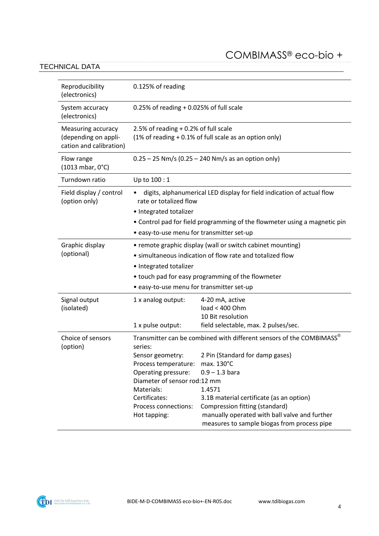#### COMBIMASS® eco-bio +

#### TECHNICAL DATA

| Reproducibility<br>(electronics)                                      | 0.125% of reading                                                                                                                                                                 |                                                                                                                                                                                                                                                                                                                                   |
|-----------------------------------------------------------------------|-----------------------------------------------------------------------------------------------------------------------------------------------------------------------------------|-----------------------------------------------------------------------------------------------------------------------------------------------------------------------------------------------------------------------------------------------------------------------------------------------------------------------------------|
| System accuracy<br>(electronics)                                      | 0.25% of reading $+$ 0.025% of full scale                                                                                                                                         |                                                                                                                                                                                                                                                                                                                                   |
| Measuring accuracy<br>(depending on appli-<br>cation and calibration) | 2.5% of reading $+0.2%$ of full scale<br>$(1\% \text{ of reading} + 0.1\% \text{ of full scale as an option only})$                                                               |                                                                                                                                                                                                                                                                                                                                   |
| Flow range<br>(1013 mbar, 0°C)                                        | $0.25 - 25$ Nm/s (0.25 – 240 Nm/s as an option only)                                                                                                                              |                                                                                                                                                                                                                                                                                                                                   |
| Turndown ratio                                                        | Up to 100 : 1                                                                                                                                                                     |                                                                                                                                                                                                                                                                                                                                   |
| Field display / control<br>(option only)                              | • 8 digits, alphanumerical LED display for field indication of actual flow<br>rate or totalized flow<br>• Integrated totalizer                                                    |                                                                                                                                                                                                                                                                                                                                   |
|                                                                       | • Control pad for field programming of the flowmeter using a magnetic pin                                                                                                         |                                                                                                                                                                                                                                                                                                                                   |
|                                                                       | · easy-to-use menu for transmitter set-up                                                                                                                                         |                                                                                                                                                                                                                                                                                                                                   |
| Graphic display<br>(optional)                                         | • remote graphic display (wall or switch cabinet mounting)<br>• simultaneous indication of flow rate and totalized flow<br>• Integrated totalizer                                 |                                                                                                                                                                                                                                                                                                                                   |
|                                                                       | • touch pad for easy programming of the flowmeter                                                                                                                                 |                                                                                                                                                                                                                                                                                                                                   |
|                                                                       | • easy-to-use menu for transmitter set-up                                                                                                                                         |                                                                                                                                                                                                                                                                                                                                   |
| Signal output<br>(isolated)                                           | 1 x analog output:<br>1 x pulse output:                                                                                                                                           | 4-20 mA, active<br>load < 400 Ohm<br>10 Bit resolution<br>field selectable, max. 2 pulses/sec.                                                                                                                                                                                                                                    |
| Choice of sensors<br>(option)                                         | series:<br>Sensor geometry:<br>Process temperature:<br>Operating pressure:<br>Diameter of sensor rod:12 mm<br>Materials:<br>Certificates:<br>Process connections:<br>Hot tapping: | Transmitter can be combined with different sensors of the COMBIMASS®<br>2 Pin (Standard for damp gases)<br>max. 130°C<br>$0.9 - 1.3$ bara<br>1.4571<br>3.1B material certificate (as an option)<br>Compression fitting (standard)<br>manually operated with ball valve and further<br>measures to sample biogas from process pipe |

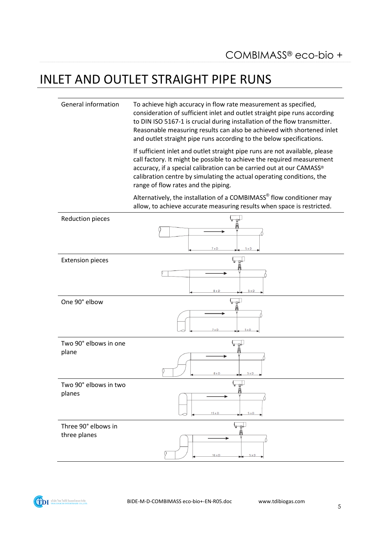## INLET AND OUTLET STRAIGHT PIPE RUNS

General information To achieve high accuracy in flow rate measurement as specified, consideration of sufficient inlet and outlet straight pipe runs according to DIN ISO 5167-1 is crucial during installation of the flow transmitter. Reasonable measuring results can also be achieved with shortened inlet and outlet straight pipe runs according to the below specifications.

> If sufficient inlet and outlet straight pipe runs are not available, please call factory. It might be possible to achieve the required measurement accuracy, if a special calibration can be carried out at our CAMASS® calibration centre by simulating the actual operating conditions, the range of flow rates and the piping.

> Alternatively, the installation of a COMBIMASS<sup>®</sup> flow conditioner may allow, to achieve accurate measuring results when space is restricted.

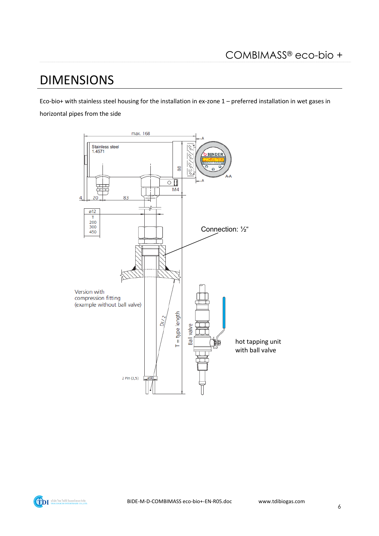## **DIMENSIONS**

Eco-bio+ with stainless steel housing for the installation in ex-zone 1 - preferred installation in wet gases in horizontal pipes from the side



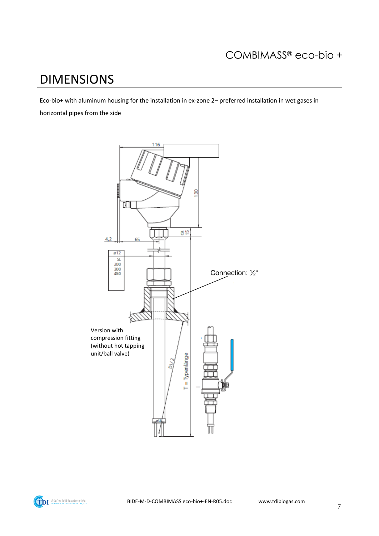# DIMENSIONS

Eco-bio+ with aluminum housing for the installation in ex-zone 2– preferred installation in wet gases in horizontal pipes from the side